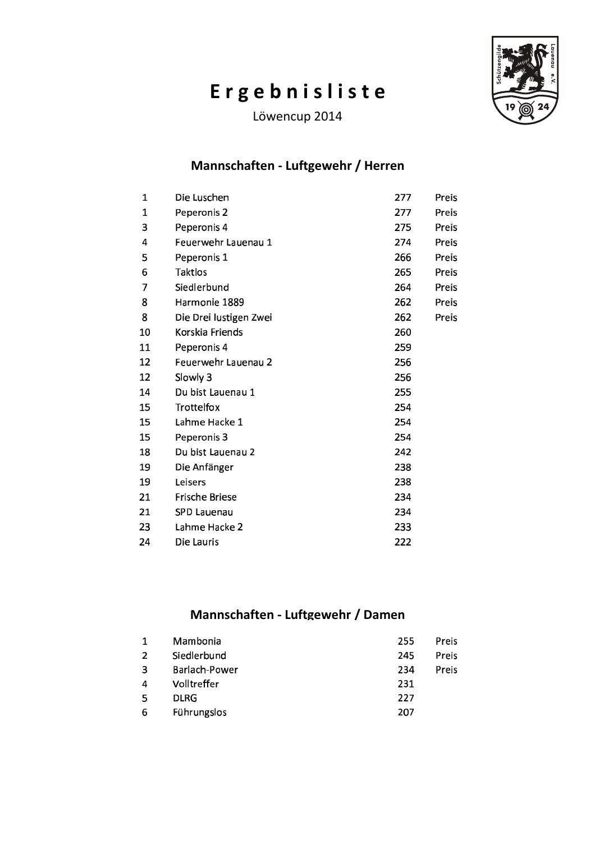# Ergebnisliste

Löwencup 2014



#### Mannschaften - Luftgewehr / Herren

| 1            | Die Luschen            | 277 | Preis        |
|--------------|------------------------|-----|--------------|
| $\mathbf{1}$ | Peperonis 2            | 277 | Preis        |
| 3            | Peperonis 4            | 275 | <b>Preis</b> |
| 4            | Feuerwehr Lauenau 1    | 274 | Preis        |
| 5            | Peperonis 1            | 266 | <b>Preis</b> |
| 6            | Taktlos                | 265 | Preis        |
| 7            | Siedlerbund            | 264 | Preis        |
| 8            | Harmonie 1889          | 262 | Preis        |
| 8            | Die Drei lustigen Zwei | 262 | Preis        |
| 10           | Korskia Friends        | 260 |              |
| 11           | Peperonis 4            | 259 |              |
| 12           | Feuerwehr Lauenau 2    | 256 |              |
| 12           | Slowly 3               | 256 |              |
| 14           | Du bist Lauenau 1      | 255 |              |
| 15           | Trottelfox             | 254 |              |
| 15           | Lahme Hacke 1          | 254 |              |
| 15           | Peperonis 3            | 254 |              |
| 18           | Du bist Lauenau 2      | 242 |              |
| 19           | Die Anfänger           | 238 |              |
| 19           | Leisers                | 238 |              |
| 21           | Frische Briese         | 234 |              |
| 21           | SPD Lauenau            | 234 |              |
| 23           | Lahme Hacke 2          | 233 |              |
| 24           | Die Lauris             | 222 |              |
|              |                        |     |              |

#### Mannschaften - Luftgewehr / Damen

| Preis |
|-------|
| Preis |
| Preis |
|       |
|       |
|       |
|       |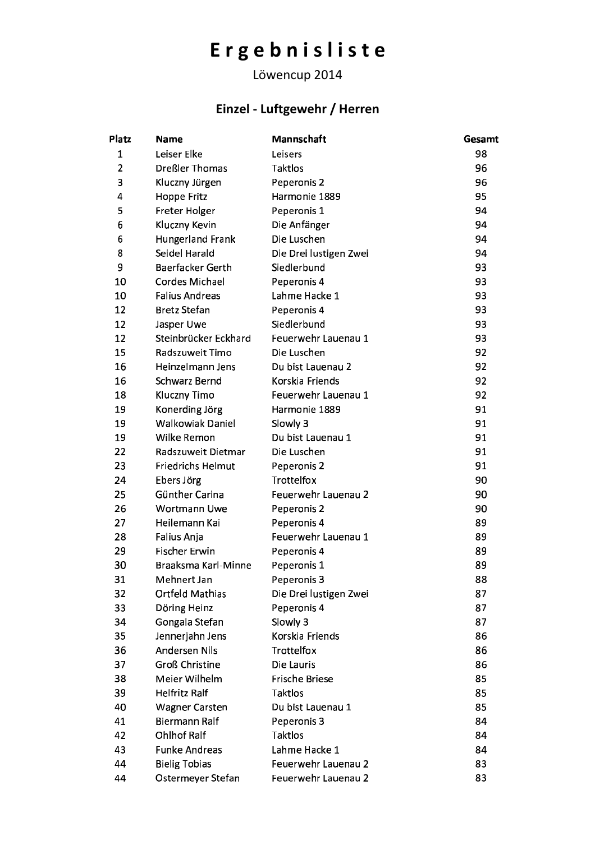# Ergebnisliste

### Löwencup 2014

## Einzel - Luftgewehr / Herren

| Platz          | <b>Name</b>              | Mannschaft             | Gesamt |
|----------------|--------------------------|------------------------|--------|
| $\mathbf{1}$   | Leiser Elke              | Leisers                | 98     |
| $\overline{2}$ | Dreßler Thomas           | Taktlos                | 96     |
| 3              | Kluczny Jürgen           | Peperonis 2            | 96     |
| 4              | Hoppe Fritz              | Harmonie 1889          | 95     |
| 5              | Freter Holger            | Peperonis 1            | 94     |
| 6              | Kluczny Kevin            | Die Anfänger           | 94     |
| 6              | Hungerland Frank         | Die Luschen            | 94     |
| 8              | Seidel Harald            | Die Drei lustigen Zwei | 94     |
| 9              | Baerfacker Gerth         | Siedlerbund            | 93     |
| 10             | Cordes Michael           | Peperonis 4            | 93     |
| 10             | <b>Falius Andreas</b>    | Lahme Hacke 1          | 93     |
| 12             | <b>Bretz Stefan</b>      | Peperonis 4            | 93     |
| 12             | Jasper Uwe               | Siedlerbund            | 93     |
| 12             | Steinbrücker Eckhard     | Feuerwehr Lauenau 1    | 93     |
| 15             | Radszuweit Timo          | Die Luschen            | 92     |
| 16             | Heinzelmann Jens         | Du bist Lauenau 2      | 92     |
| 16             | <b>Schwarz Bernd</b>     | Korskia Friends        | 92     |
| 18             | Kluczny Timo             | Feuerwehr Lauenau 1    | 92     |
| 19             | Konerding Jörg           | Harmonie 1889          | 91     |
| 19             | <b>Walkowiak Daniel</b>  | Slowly 3               | 91     |
| 19             | Wilke Remon              | Du bist Lauenau 1      | 91     |
| 22             | Radszuweit Dietmar       | Die Luschen            | 91     |
| 23             | <b>Friedrichs Helmut</b> | Peperonis 2            | 91     |
| 24             | Ebers Jörg               | Trottelfox             | 90     |
| 25             | Günther Carina           | Feuerwehr Lauenau 2    | 90     |
| 26             | <b>Wortmann Uwe</b>      | Peperonis 2            | 90     |
| 27             | Heilemann Kai            | Peperonis 4            | 89     |
| 28             | Falius Anja              | Feuerwehr Lauenau 1    | 89     |
| 29             | <b>Fischer Erwin</b>     | Peperonis 4            | 89     |
| 30             | Braaksma Karl-Minne      | Peperonis 1            | 89     |
| 31             | Mehnert Jan              | Peperonis 3            | 88     |
| 32             | <b>Ortfeld Mathias</b>   | Die Drei lustigen Zwei | 87     |
| 33             | Döring Heinz             | Peperonis 4            | 87     |
| 34             | Gongala Stefan           | Slowly 3               | 87     |
| 35             | Jennerjahn Jens          | Korskia Friends        | 86     |
| 36             | <b>Andersen Nils</b>     | Trottelfox             | 86     |
| 37             | <b>Groß Christine</b>    | Die Lauris             | 86     |
| 38             | Meier Wilhelm            | Frische Briese         | 85     |
| 39             | <b>Helfritz Ralf</b>     | Taktlos                | 85     |
| 40             | <b>Wagner Carsten</b>    | Du bist Lauenau 1      | 85     |
| 41             | <b>Biermann Ralf</b>     | Peperonis 3            | 84     |
| 42             | <b>Ohlhof Ralf</b>       | Taktlos                | 84     |
| 43             | <b>Funke Andreas</b>     | Lahme Hacke 1          | 84     |
| 44             | <b>Bielig Tobias</b>     | Feuerwehr Lauenau 2    | 83     |
| 44             | Ostermeyer Stefan        | Feuerwehr Lauenau 2    | 83     |